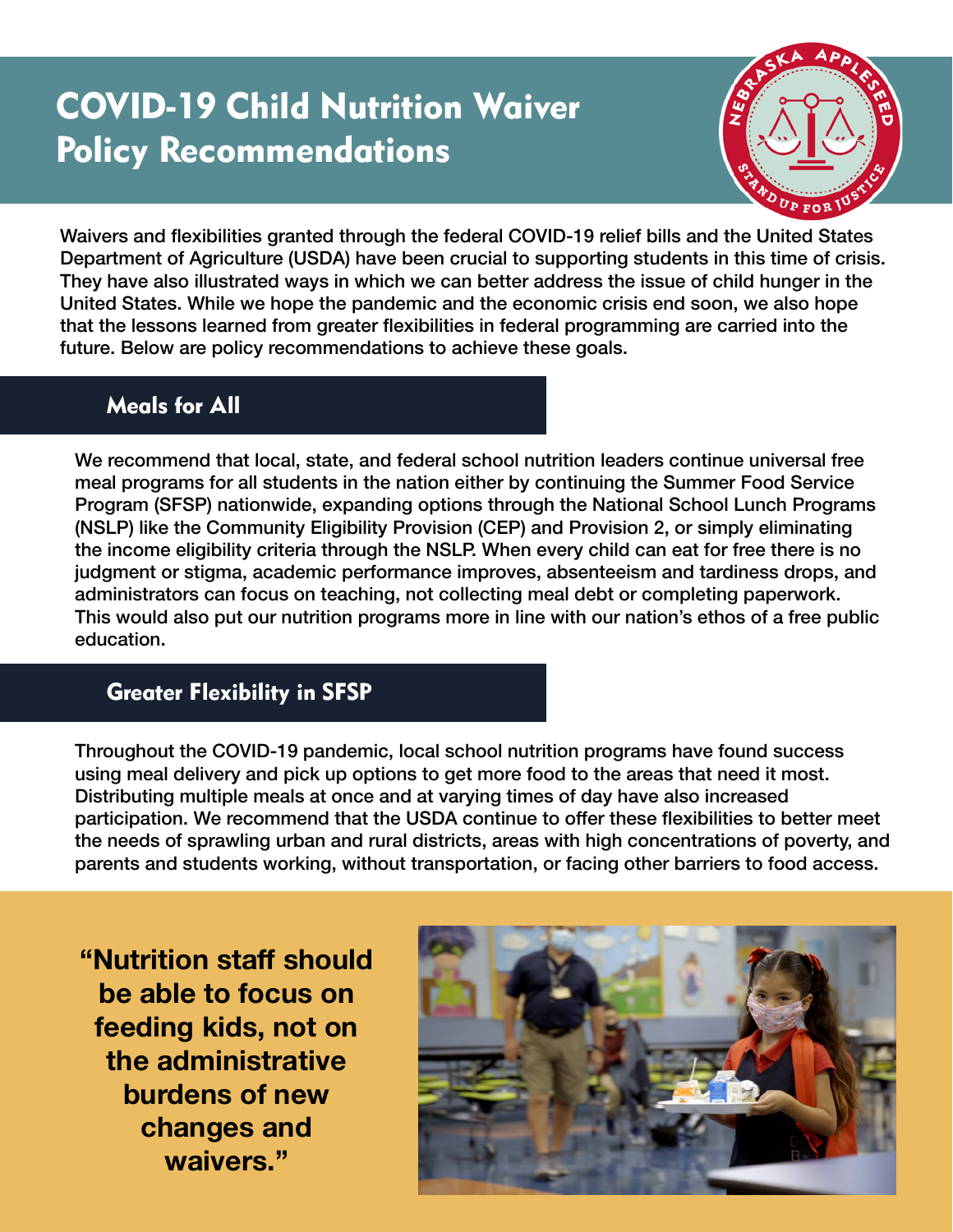# COVID-19 Child Nutrition Waiver Policy Recommendations



Waivers and flexibilities granted through the federal COVID-19 relief bills and the United States Department of Agriculture (USDA) have been crucial to supporting students in this time of crisis. They have also illustrated ways in which we can better address the issue of child hunger in the United States. While we hope the pandemic and the economic crisis end soon, we also hope that the lessons learned from greater flexibilities in federal programming are carried into the future. Below are policy recommendations to achieve these goals.

## Meals for All

We recommend that local, state, and federal school nutrition leaders continue universal free meal programs for all students in the nation either by continuing the Summer Food Service Program (SFSP) nationwide, expanding options through the National School Lunch Programs (NSLP) like the Community Eligibility Provision (CEP) and Provision 2, or simply eliminating the income eligibility criteria through the NSLP. When every child can eat for free there is no judgment or stigma, academic performance improves, absenteeism and tardiness drops, and administrators can focus on teaching, not collecting meal debt or completing paperwork. This would also put our nutrition programs more in line with our nation's ethos of a free public education.

### Greater Flexibility in SFSP

Throughout the COVID-19 pandemic, local school nutrition programs have found success using meal delivery and pick up options to get more food to the areas that need it most. Distributing multiple meals at once and at varying times of day have also increased participation. We recommend that the USDA continue to offer these flexibilities to better meet the needs of sprawling urban and rural districts, areas with high concentrations of poverty, and parents and students working, without transportation, or facing other barriers to food access.

**"Nutrition staff should be able to focus on feeding kids, not on the administrative burdens of new changes and waivers."**